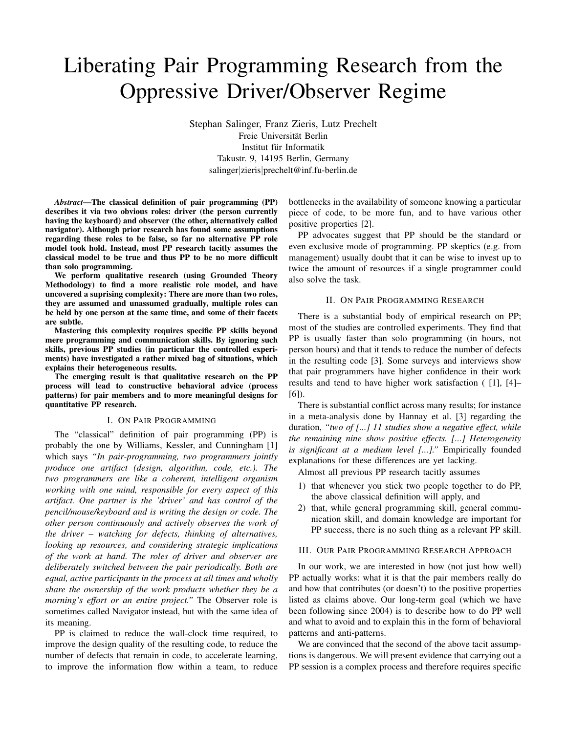# Liberating Pair Programming Research from the Oppressive Driver/Observer Regime

Stephan Salinger, Franz Zieris, Lutz Prechelt Freie Universität Berlin Institut für Informatik Takustr. 9, 14195 Berlin, Germany salinger|zieris|prechelt@inf.fu-berlin.de

*Abstract*—The classical definition of pair programming (PP) describes it via two obvious roles: driver (the person currently having the keyboard) and observer (the other, alternatively called navigator). Although prior research has found some assumptions regarding these roles to be false, so far no alternative PP role model took hold. Instead, most PP research tacitly assumes the classical model to be true and thus PP to be no more difficult than solo programming.

We perform qualitative research (using Grounded Theory Methodology) to find a more realistic role model, and have uncovered a suprising complexity: There are more than two roles, they are assumed and unassumed gradually, multiple roles can be held by one person at the same time, and some of their facets are subtle.

Mastering this complexity requires specific PP skills beyond mere programming and communication skills. By ignoring such skills, previous PP studies (in particular the controlled experiments) have investigated a rather mixed bag of situations, which explains their heterogeneous results.

The emerging result is that qualitative research on the PP process will lead to constructive behavioral advice (process patterns) for pair members and to more meaningful designs for quantitative PP research.

#### I. ON PAIR PROGRAMMING

The "classical" definition of pair programming (PP) is probably the one by Williams, Kessler, and Cunningham [1] which says *"In pair-programming, two programmers jointly produce one artifact (design, algorithm, code, etc.). The two programmers are like a coherent, intelligent organism working with one mind, responsible for every aspect of this artifact. One partner is the 'driver' and has control of the pencil/mouse/keyboard and is writing the design or code. The other person continuously and actively observes the work of the driver – watching for defects, thinking of alternatives, looking up resources, and considering strategic implications of the work at hand. The roles of driver and observer are deliberately switched between the pair periodically. Both are equal, active participants in the process at all times and wholly share the ownership of the work products whether they be a morning's effort or an entire project."* The Observer role is sometimes called Navigator instead, but with the same idea of its meaning.

PP is claimed to reduce the wall-clock time required, to improve the design quality of the resulting code, to reduce the number of defects that remain in code, to accelerate learning, to improve the information flow within a team, to reduce bottlenecks in the availability of someone knowing a particular piece of code, to be more fun, and to have various other positive properties [2].

PP advocates suggest that PP should be the standard or even exclusive mode of programming. PP skeptics (e.g. from management) usually doubt that it can be wise to invest up to twice the amount of resources if a single programmer could also solve the task.

## II. ON PAIR PROGRAMMING RESEARCH

There is a substantial body of empirical research on PP; most of the studies are controlled experiments. They find that PP is usually faster than solo programming (in hours, not person hours) and that it tends to reduce the number of defects in the resulting code [3]. Some surveys and interviews show that pair programmers have higher confidence in their work results and tend to have higher work satisfaction ( [1], [4]– [6]).

There is substantial conflict across many results; for instance in a meta-analysis done by Hannay et al. [3] regarding the duration, *"two of [...] 11 studies show a negative effect, while the remaining nine show positive effects. [...] Heterogeneity is significant at a medium level [...]."* Empirically founded explanations for these differences are yet lacking.

Almost all previous PP research tacitly assumes

- 1) that whenever you stick two people together to do PP, the above classical definition will apply, and
- 2) that, while general programming skill, general communication skill, and domain knowledge are important for PP success, there is no such thing as a relevant PP skill.

# III. OUR PAIR PROGRAMMING RESEARCH APPROACH

In our work, we are interested in how (not just how well) PP actually works: what it is that the pair members really do and how that contributes (or doesn't) to the positive properties listed as claims above. Our long-term goal (which we have been following since 2004) is to describe how to do PP well and what to avoid and to explain this in the form of behavioral patterns and anti-patterns.

We are convinced that the second of the above tacit assumptions is dangerous. We will present evidence that carrying out a PP session is a complex process and therefore requires specific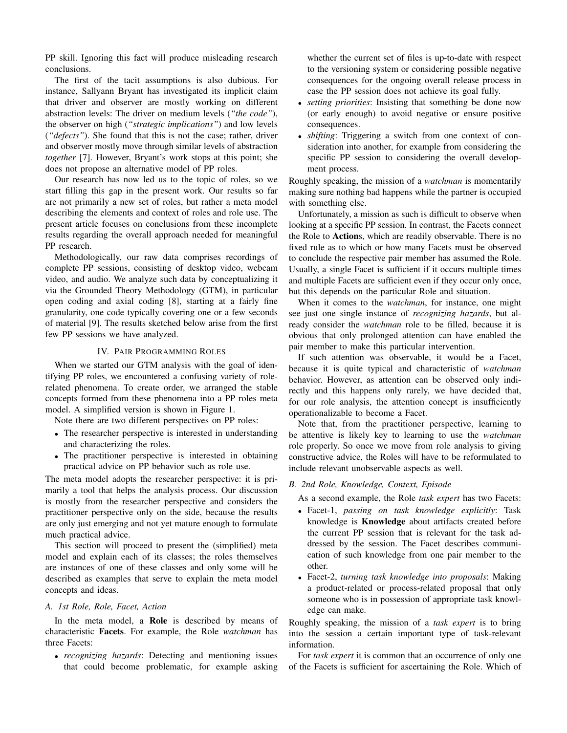PP skill. Ignoring this fact will produce misleading research conclusions.

The first of the tacit assumptions is also dubious. For instance, Sallyann Bryant has investigated its implicit claim that driver and observer are mostly working on different abstraction levels: The driver on medium levels (*"the code"*), the observer on high (*"strategic implications"*) and low levels (*"defects"*). She found that this is not the case; rather, driver and observer mostly move through similar levels of abstraction *together* [7]. However, Bryant's work stops at this point; she does not propose an alternative model of PP roles.

Our research has now led us to the topic of roles, so we start filling this gap in the present work. Our results so far are not primarily a new set of roles, but rather a meta model describing the elements and context of roles and role use. The present article focuses on conclusions from these incomplete results regarding the overall approach needed for meaningful PP research.

Methodologically, our raw data comprises recordings of complete PP sessions, consisting of desktop video, webcam video, and audio. We analyze such data by conceptualizing it via the Grounded Theory Methodology (GTM), in particular open coding and axial coding [8], starting at a fairly fine granularity, one code typically covering one or a few seconds of material [9]. The results sketched below arise from the first few PP sessions we have analyzed.

# IV. PAIR PROGRAMMING ROLES

When we started our GTM analysis with the goal of identifying PP roles, we encountered a confusing variety of rolerelated phenomena. To create order, we arranged the stable concepts formed from these phenomena into a PP roles meta model. A simplified version is shown in Figure 1.

Note there are two different perspectives on PP roles:

- The researcher perspective is interested in understanding and characterizing the roles.
- The practitioner perspective is interested in obtaining practical advice on PP behavior such as role use.

The meta model adopts the researcher perspective: it is primarily a tool that helps the analysis process. Our discussion is mostly from the researcher perspective and considers the practitioner perspective only on the side, because the results are only just emerging and not yet mature enough to formulate much practical advice.

This section will proceed to present the (simplified) meta model and explain each of its classes; the roles themselves are instances of one of these classes and only some will be described as examples that serve to explain the meta model concepts and ideas.

# *A. 1st Role, Role, Facet, Action*

In the meta model, a Role is described by means of characteristic Facets. For example, the Role *watchman* has three Facets:

• *recognizing hazards*: Detecting and mentioning issues that could become problematic, for example asking

whether the current set of files is up-to-date with respect to the versioning system or considering possible negative consequences for the ongoing overall release process in case the PP session does not achieve its goal fully.

- *setting priorities*: Insisting that something be done now (or early enough) to avoid negative or ensure positive consequences.
- *shifting*: Triggering a switch from one context of consideration into another, for example from considering the specific PP session to considering the overall development process.

Roughly speaking, the mission of a *watchman* is momentarily making sure nothing bad happens while the partner is occupied with something else.

Unfortunately, a mission as such is difficult to observe when looking at a specific PP session. In contrast, the Facets connect the Role to Actions, which are readily observable. There is no fixed rule as to which or how many Facets must be observed to conclude the respective pair member has assumed the Role. Usually, a single Facet is sufficient if it occurs multiple times and multiple Facets are sufficient even if they occur only once, but this depends on the particular Role and situation.

When it comes to the *watchman*, for instance, one might see just one single instance of *recognizing hazards*, but already consider the *watchman* role to be filled, because it is obvious that only prolonged attention can have enabled the pair member to make this particular intervention.

If such attention was observable, it would be a Facet, because it is quite typical and characteristic of *watchman* behavior. However, as attention can be observed only indirectly and this happens only rarely, we have decided that, for our role analysis, the attention concept is insufficiently operationalizable to become a Facet.

Note that, from the practitioner perspective, learning to be attentive is likely key to learning to use the *watchman* role properly. So once we move from role analysis to giving constructive advice, the Roles will have to be reformulated to include relevant unobservable aspects as well.

# *B. 2nd Role, Knowledge, Context, Episode*

As a second example, the Role *task expert* has two Facets:

- Facet-1, *passing on task knowledge explicitly*: Task knowledge is Knowledge about artifacts created before the current PP session that is relevant for the task addressed by the session. The Facet describes communication of such knowledge from one pair member to the other.
- Facet-2, *turning task knowledge into proposals*: Making a product-related or process-related proposal that only someone who is in possession of appropriate task knowledge can make.

Roughly speaking, the mission of a *task expert* is to bring into the session a certain important type of task-relevant information.

For *task expert* it is common that an occurrence of only one of the Facets is sufficient for ascertaining the Role. Which of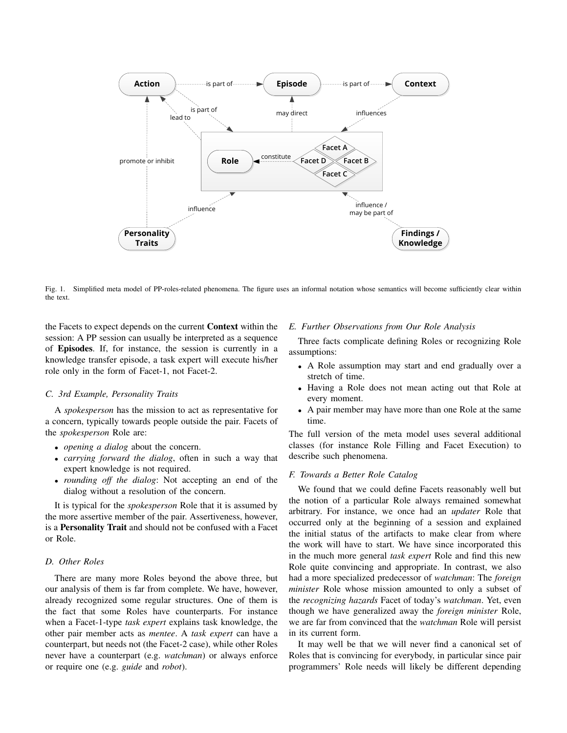

Fig. 1. Simplified meta model of PP-roles-related phenomena. The figure uses an informal notation whose semantics will become sufficiently clear within the text.

the Facets to expect depends on the current Context within the session: A PP session can usually be interpreted as a sequence of Episodes. If, for instance, the session is currently in a knowledge transfer episode, a task expert will execute his/her role only in the form of Facet-1, not Facet-2.

#### *C. 3rd Example, Personality Traits*

A *spokesperson* has the mission to act as representative for a concern, typically towards people outside the pair. Facets of the *spokesperson* Role are:

- *opening a dialog* about the concern.
- *carrying forward the dialog*, often in such a way that expert knowledge is not required.
- *rounding off the dialog*: Not accepting an end of the dialog without a resolution of the concern.

It is typical for the *spokesperson* Role that it is assumed by the more assertive member of the pair. Assertiveness, however, is a Personality Trait and should not be confused with a Facet or Role.

### *D. Other Roles*

There are many more Roles beyond the above three, but our analysis of them is far from complete. We have, however, already recognized some regular structures. One of them is the fact that some Roles have counterparts. For instance when a Facet-1-type *task expert* explains task knowledge, the other pair member acts as *mentee*. A *task expert* can have a counterpart, but needs not (the Facet-2 case), while other Roles never have a counterpart (e.g. *watchman*) or always enforce or require one (e.g. *guide* and *robot*).

#### *E. Further Observations from Our Role Analysis*

Three facts complicate defining Roles or recognizing Role assumptions:

- A Role assumption may start and end gradually over a stretch of time.
- Having a Role does not mean acting out that Role at every moment.
- A pair member may have more than one Role at the same time.

The full version of the meta model uses several additional classes (for instance Role Filling and Facet Execution) to describe such phenomena.

# *F. Towards a Better Role Catalog*

We found that we could define Facets reasonably well but the notion of a particular Role always remained somewhat arbitrary. For instance, we once had an *updater* Role that occurred only at the beginning of a session and explained the initial status of the artifacts to make clear from where the work will have to start. We have since incorporated this in the much more general *task expert* Role and find this new Role quite convincing and appropriate. In contrast, we also had a more specialized predecessor of *watchman*: The *foreign minister* Role whose mission amounted to only a subset of the *recognizing hazards* Facet of today's *watchman*. Yet, even though we have generalized away the *foreign minister* Role, we are far from convinced that the *watchman* Role will persist in its current form.

It may well be that we will never find a canonical set of Roles that is convincing for everybody, in particular since pair programmers' Role needs will likely be different depending